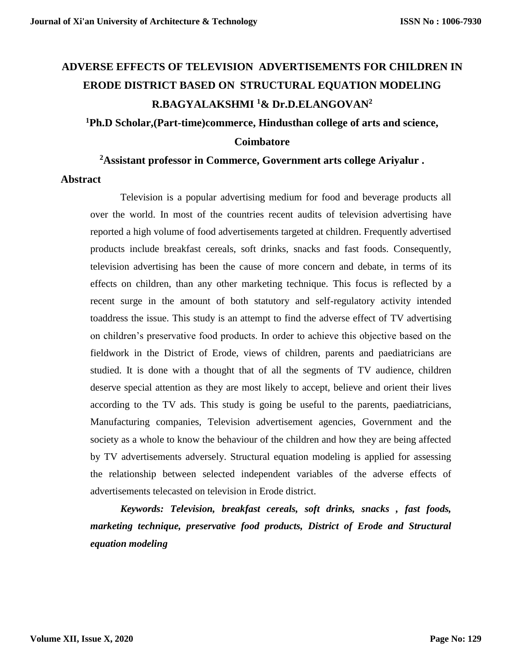# **ADVERSE EFFECTS OF TELEVISION ADVERTISEMENTS FOR CHILDREN IN ERODE DISTRICT BASED ON STRUCTURAL EQUATION MODELING R.BAGYALAKSHMI <sup>1</sup>& Dr.D.ELANGOVAN<sup>2</sup>**

# **<sup>1</sup>Ph.D Scholar,(Part-time)commerce, Hindusthan college of arts and science, Coimbatore**

#### **<sup>2</sup>Assistant professor in Commerce, Government arts college Ariyalur .**

#### **Abstract**

Television is a popular advertising medium for food and beverage products all over the world. In most of the countries recent audits of television advertising have reported a high volume of food advertisements targeted at children. Frequently advertised products include breakfast cereals, soft drinks, snacks and fast foods. Consequently, television advertising has been the cause of more concern and debate, in terms of its effects on children, than any other marketing technique. This focus is reflected by a recent surge in the amount of both statutory and self-regulatory activity intended toaddress the issue. This study is an attempt to find the adverse effect of TV advertising on children's preservative food products. In order to achieve this objective based on the fieldwork in the District of Erode, views of children, parents and paediatricians are studied. It is done with a thought that of all the segments of TV audience, children deserve special attention as they are most likely to accept, believe and orient their lives according to the TV ads. This study is going be useful to the parents, paediatricians, Manufacturing companies, Television advertisement agencies, Government and the society as a whole to know the behaviour of the children and how they are being affected by TV advertisements adversely. Structural equation modeling is applied for assessing the relationship between selected independent variables of the adverse effects of advertisements telecasted on television in Erode district.

*Keywords: Television, breakfast cereals, soft drinks, snacks , fast foods, marketing technique, preservative food products, District of Erode and Structural equation modeling*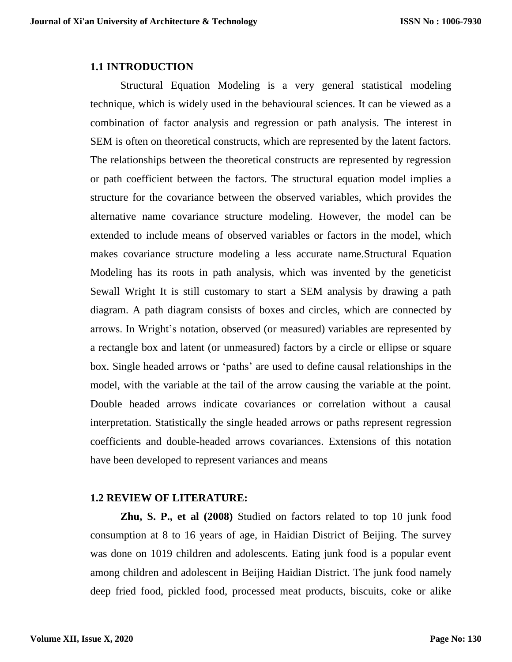#### **1.1 INTRODUCTION**

Structural Equation Modeling is a very general statistical modeling technique, which is widely used in the behavioural sciences. It can be viewed as a combination of factor analysis and regression or path analysis. The interest in SEM is often on theoretical constructs, which are represented by the latent factors. The relationships between the theoretical constructs are represented by regression or path coefficient between the factors. The structural equation model implies a structure for the covariance between the observed variables, which provides the alternative name covariance structure modeling. However, the model can be extended to include means of observed variables or factors in the model, which makes covariance structure modeling a less accurate name.Structural Equation Modeling has its roots in path analysis, which was invented by the geneticist Sewall Wright It is still customary to start a SEM analysis by drawing a path diagram. A path diagram consists of boxes and circles, which are connected by arrows. In Wright's notation, observed (or measured) variables are represented by a rectangle box and latent (or unmeasured) factors by a circle or ellipse or square box. Single headed arrows or 'paths' are used to define causal relationships in the model, with the variable at the tail of the arrow causing the variable at the point. Double headed arrows indicate covariances or correlation without a causal interpretation. Statistically the single headed arrows or paths represent regression coefficients and double-headed arrows covariances. Extensions of this notation have been developed to represent variances and means

## **1.2 REVIEW OF LITERATURE:**

**Zhu, S. P., et al (2008)** Studied on factors related to top 10 junk food consumption at 8 to 16 years of age, in Haidian District of Beijing. The survey was done on 1019 children and adolescents. Eating junk food is a popular event among children and adolescent in Beijing Haidian District. The junk food namely deep fried food, pickled food, processed meat products, biscuits, coke or alike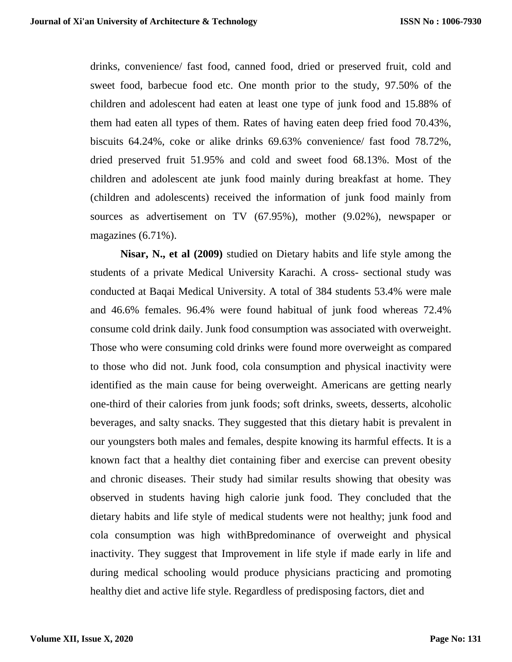drinks, convenience/ fast food, canned food, dried or preserved fruit, cold and sweet food, barbecue food etc. One month prior to the study, 97.50% of the children and adolescent had eaten at least one type of junk food and 15.88% of them had eaten all types of them. Rates of having eaten deep fried food 70.43%, biscuits 64.24%, coke or alike drinks 69.63% convenience/ fast food 78.72%, dried preserved fruit 51.95% and cold and sweet food 68.13%. Most of the children and adolescent ate junk food mainly during breakfast at home. They (children and adolescents) received the information of junk food mainly from sources as advertisement on TV (67.95%), mother (9.02%), newspaper or magazines (6.71%).

**Nisar, N., et al (2009)** studied on Dietary habits and life style among the students of a private Medical University Karachi. A cross- sectional study was conducted at Baqai Medical University. A total of 384 students 53.4% were male and 46.6% females. 96.4% were found habitual of junk food whereas 72.4% consume cold drink daily. Junk food consumption was associated with overweight. Those who were consuming cold drinks were found more overweight as compared to those who did not. Junk food, cola consumption and physical inactivity were identified as the main cause for being overweight. Americans are getting nearly one-third of their calories from junk foods; soft drinks, sweets, desserts, alcoholic beverages, and salty snacks. They suggested that this dietary habit is prevalent in our youngsters both males and females, despite knowing its harmful effects. It is a known fact that a healthy diet containing fiber and exercise can prevent obesity and chronic diseases. Their study had similar results showing that obesity was observed in students having high calorie junk food. They concluded that the dietary habits and life style of medical students were not healthy; junk food and cola consumption was high withBpredominance of overweight and physical inactivity. They suggest that Improvement in life style if made early in life and during medical schooling would produce physicians practicing and promoting healthy diet and active life style. Regardless of predisposing factors, diet and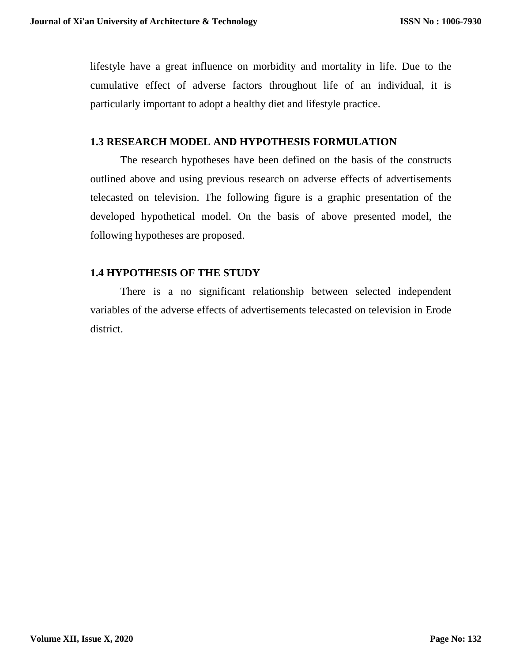lifestyle have a great influence on morbidity and mortality in life. Due to the cumulative effect of adverse factors throughout life of an individual, it is particularly important to adopt a healthy diet and lifestyle practice.

# **1.3 RESEARCH MODEL AND HYPOTHESIS FORMULATION**

The research hypotheses have been defined on the basis of the constructs outlined above and using previous research on adverse effects of advertisements telecasted on television. The following figure is a graphic presentation of the developed hypothetical model. On the basis of above presented model, the following hypotheses are proposed.

# **1.4 HYPOTHESIS OF THE STUDY**

There is a no significant relationship between selected independent variables of the adverse effects of advertisements telecasted on television in Erode district.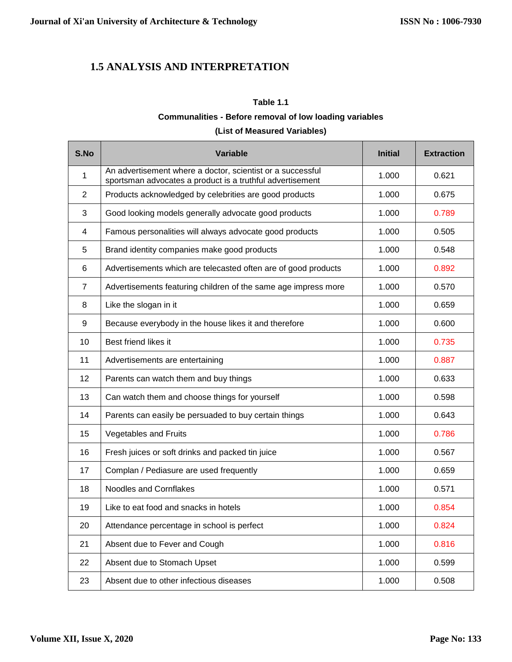# **1.5 ANALYSIS AND INTERPRETATION**

#### **Table 1.1**

#### **Communalities - Before removal of low loading variables**

### **(List of Measured Variables)**

| S.No           | <b>Variable</b>                                                                                                         | <b>Initial</b> | <b>Extraction</b> |
|----------------|-------------------------------------------------------------------------------------------------------------------------|----------------|-------------------|
| 1              | An advertisement where a doctor, scientist or a successful<br>sportsman advocates a product is a truthful advertisement | 1.000          | 0.621             |
| 2              | Products acknowledged by celebrities are good products                                                                  | 1.000          | 0.675             |
| 3              | Good looking models generally advocate good products                                                                    | 1.000          | 0.789             |
| $\overline{4}$ | Famous personalities will always advocate good products                                                                 | 1.000          | 0.505             |
| 5              | Brand identity companies make good products                                                                             | 1.000          | 0.548             |
| 6              | Advertisements which are telecasted often are of good products                                                          | 1.000          | 0.892             |
| $\overline{7}$ | Advertisements featuring children of the same age impress more                                                          | 1.000          | 0.570             |
| 8              | Like the slogan in it                                                                                                   | 1.000          | 0.659             |
| 9              | Because everybody in the house likes it and therefore                                                                   | 1.000          | 0.600             |
| 10             | Best friend likes it                                                                                                    | 1.000          | 0.735             |
| 11             | Advertisements are entertaining                                                                                         | 1.000          | 0.887             |
| 12             | Parents can watch them and buy things                                                                                   | 1.000          | 0.633             |
| 13             | Can watch them and choose things for yourself                                                                           | 1.000          | 0.598             |
| 14             | Parents can easily be persuaded to buy certain things                                                                   | 1.000          | 0.643             |
| 15             | Vegetables and Fruits                                                                                                   | 1.000          | 0.786             |
| 16             | Fresh juices or soft drinks and packed tin juice                                                                        | 1.000          | 0.567             |
| 17             | Complan / Pediasure are used frequently                                                                                 | 1.000          | 0.659             |
| 18             | Noodles and Cornflakes                                                                                                  | 1.000          | 0.571             |
| 19             | Like to eat food and snacks in hotels                                                                                   | 1.000          | 0.854             |
| 20             | Attendance percentage in school is perfect                                                                              | 1.000          | 0.824             |
| 21             | Absent due to Fever and Cough                                                                                           | 1.000          | 0.816             |
| 22             | Absent due to Stomach Upset                                                                                             | 1.000          | 0.599             |
| 23             | Absent due to other infectious diseases                                                                                 | 1.000          | 0.508             |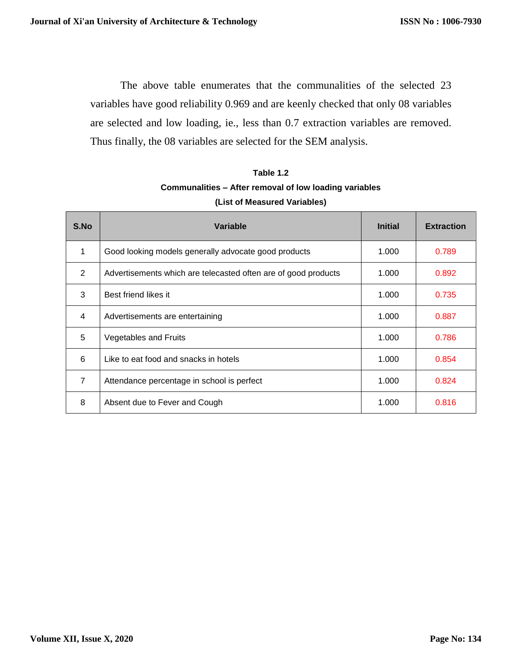The above table enumerates that the communalities of the selected 23 variables have good reliability 0.969 and are keenly checked that only 08 variables are selected and low loading, ie., less than 0.7 extraction variables are removed. Thus finally, the 08 variables are selected for the SEM analysis.

| Table 1.2                                              |
|--------------------------------------------------------|
| Communalities – After removal of low loading variables |
| (List of Measured Variables)                           |

| S.No           | Variable                                                       | <b>Initial</b> | <b>Extraction</b> |
|----------------|----------------------------------------------------------------|----------------|-------------------|
| 1              | Good looking models generally advocate good products           | 1.000          | 0.789             |
| 2              | Advertisements which are telecasted often are of good products | 1.000          | 0.892             |
| 3              | Best friend likes it                                           | 1.000          | 0.735             |
| 4              | Advertisements are entertaining                                | 1.000          | 0.887             |
| 5              | <b>Vegetables and Fruits</b>                                   | 1.000          | 0.786             |
| 6              | Like to eat food and snacks in hotels                          | 1.000          | 0.854             |
| $\overline{7}$ | Attendance percentage in school is perfect                     | 1.000          | 0.824             |
| 8              | Absent due to Fever and Cough                                  | 1.000          | 0.816             |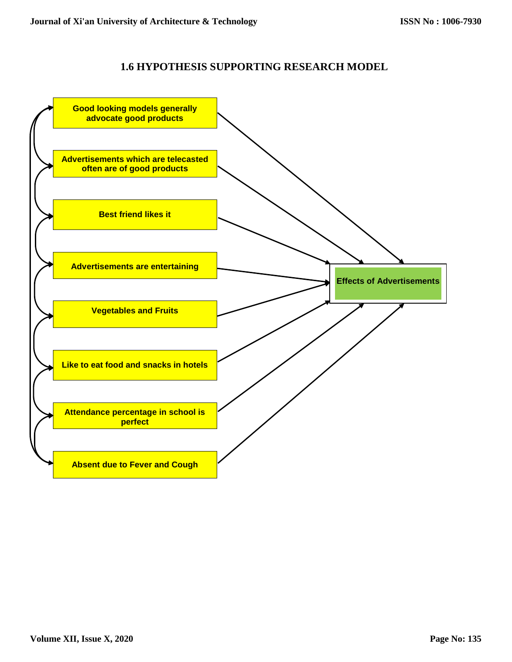## **1.6 HYPOTHESIS SUPPORTING RESEARCH MODEL**

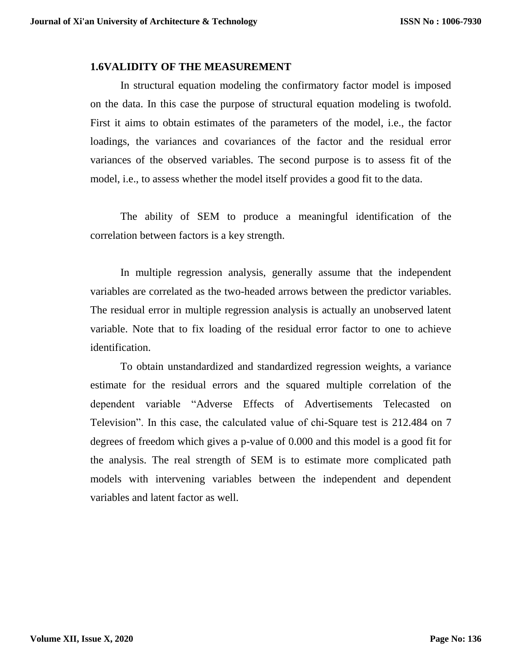### **1.6VALIDITY OF THE MEASUREMENT**

In structural equation modeling the confirmatory factor model is imposed on the data. In this case the purpose of structural equation modeling is twofold. First it aims to obtain estimates of the parameters of the model, i.e., the factor loadings, the variances and covariances of the factor and the residual error variances of the observed variables. The second purpose is to assess fit of the model, i.e., to assess whether the model itself provides a good fit to the data.

The ability of SEM to produce a meaningful identification of the correlation between factors is a key strength.

In multiple regression analysis, generally assume that the independent variables are correlated as the two-headed arrows between the predictor variables. The residual error in multiple regression analysis is actually an unobserved latent variable. Note that to fix loading of the residual error factor to one to achieve identification.

To obtain unstandardized and standardized regression weights, a variance estimate for the residual errors and the squared multiple correlation of the dependent variable "Adverse Effects of Advertisements Telecasted on Television". In this case, the calculated value of chi-Square test is 212.484 on 7 degrees of freedom which gives a p-value of 0.000 and this model is a good fit for the analysis. The real strength of SEM is to estimate more complicated path models with intervening variables between the independent and dependent variables and latent factor as well.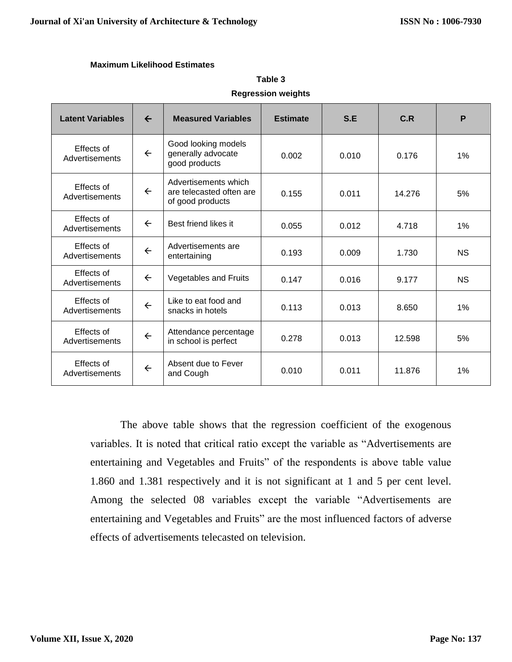#### **Maximum Likelihood Estimates**

| <b>Latent Variables</b>                                                                                                       | $\leftarrow$                                                               | <b>Measured Variables</b>                | <b>Estimate</b> | S.E    | C.R       | P         |
|-------------------------------------------------------------------------------------------------------------------------------|----------------------------------------------------------------------------|------------------------------------------|-----------------|--------|-----------|-----------|
| Effects of<br>Advertisements                                                                                                  | Good looking models<br>$\leftarrow$<br>generally advocate<br>good products |                                          | 0.002           | 0.010  | 0.176     | 1%        |
| Advertisements which<br>Effects of<br>$\leftarrow$<br>are telecasted often are<br>0.155<br>Advertisements<br>of good products |                                                                            | 0.011                                    | 14.276          | 5%     |           |           |
| Effects of<br>Advertisements                                                                                                  | $\leftarrow$                                                               | Best friend likes it                     | 0.055           | 0.012  | 4.718     | 1%        |
| Effects of<br>Advertisements                                                                                                  | $\leftarrow$                                                               | Advertisements are<br>entertaining       | 0.193           | 0.009  | 1.730     | <b>NS</b> |
| Effects of<br>$\leftarrow$<br>Vegetables and Fruits<br>0.147<br>Advertisements                                                |                                                                            |                                          | 0.016           | 9.177  | <b>NS</b> |           |
| Effects of<br>Advertisements                                                                                                  | $\leftarrow$                                                               | Like to eat food and<br>snacks in hotels | 0.113           | 0.013  | 8.650     | 1%        |
| Effects of<br>Attendance percentage<br>$\leftarrow$<br>Advertisements<br>in school is perfect                                 |                                                                            | 0.278                                    | 0.013           | 12.598 | 5%        |           |
| Effects of<br>Advertisements                                                                                                  | $\leftarrow$                                                               | Absent due to Fever<br>and Cough         | 0.010           | 0.011  | 11.876    | 1%        |

# **Table 3 Regression weights**

The above table shows that the regression coefficient of the exogenous variables. It is noted that critical ratio except the variable as "Advertisements are entertaining and Vegetables and Fruits" of the respondents is above table value 1.860 and 1.381 respectively and it is not significant at 1 and 5 per cent level. Among the selected 08 variables except the variable "Advertisements are entertaining and Vegetables and Fruits" are the most influenced factors of adverse effects of advertisements telecasted on television.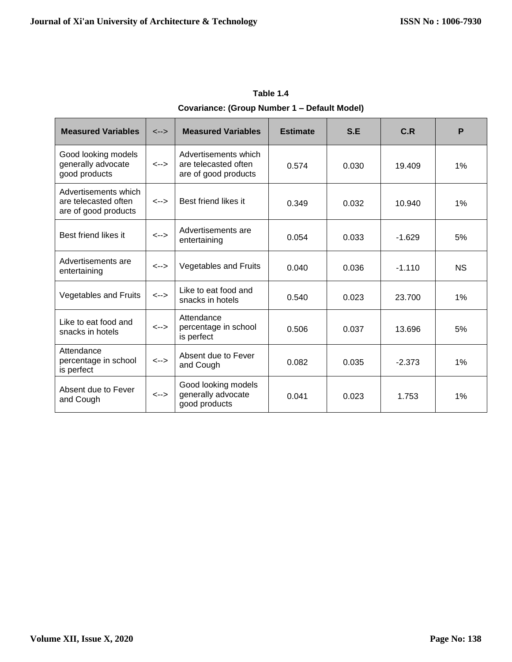| <b>Measured Variables</b>                                                                                                                          | $\leftarrow$ | <b>Measured Variables</b>                                  | <b>Estimate</b> | S.E    | C.R      | P         |
|----------------------------------------------------------------------------------------------------------------------------------------------------|--------------|------------------------------------------------------------|-----------------|--------|----------|-----------|
| Good looking models<br>Advertisements which<br>generally advocate<br>are telecasted often<br>$\leftarrow$<br>good products<br>are of good products |              | 0.574                                                      | 0.030           | 19.409 | 1%       |           |
| Advertisements which<br>are telecasted often<br>are of good products                                                                               | $\leftarrow$ | Best friend likes it<br>0.349                              |                 | 0.032  | 10.940   | 1%        |
| Best friend likes it                                                                                                                               | $\leftarrow$ | Advertisements are<br>entertaining                         | 0.054           | 0.033  | $-1.629$ | 5%        |
| Advertisements are<br>entertaining                                                                                                                 | <-->         | <b>Vegetables and Fruits</b>                               | 0.040           | 0.036  | $-1.110$ | <b>NS</b> |
| <b>Vegetables and Fruits</b>                                                                                                                       | $\leftarrow$ | Like to eat food and<br>snacks in hotels                   | 0.540           | 0.023  | 23.700   | 1%        |
| Like to eat food and<br>snacks in hotels                                                                                                           | <-->         | Attendance<br>percentage in school<br>is perfect           | 0.506           | 0.037  | 13.696   | 5%        |
| Attendance<br>percentage in school<br>is perfect                                                                                                   | $\leftarrow$ | Absent due to Fever<br>and Cough                           | 0.082           | 0.035  | $-2.373$ | 1%        |
| Absent due to Fever<br>and Cough                                                                                                                   | $\leftarrow$ | Good looking models<br>generally advocate<br>good products | 0.041           | 0.023  | 1.753    | 1%        |

**Table 1.4 Covariance: (Group Number 1 – Default Model)**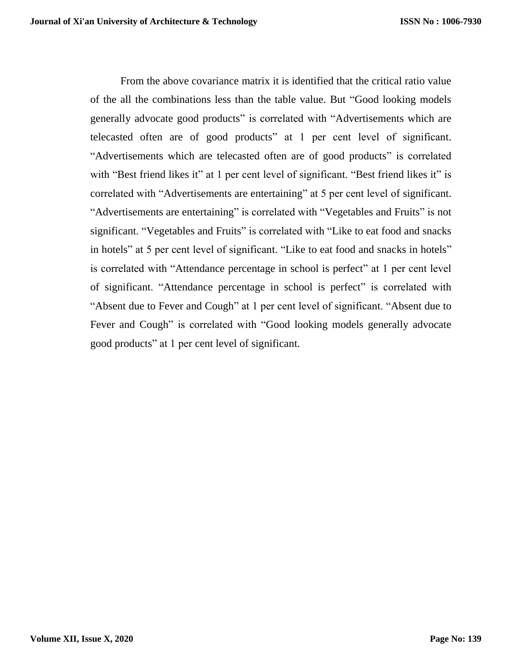From the above covariance matrix it is identified that the critical ratio value of the all the combinations less than the table value. But "Good looking models generally advocate good products" is correlated with "Advertisements which are telecasted often are of good products" at 1 per cent level of significant. "Advertisements which are telecasted often are of good products" is correlated with "Best friend likes it" at 1 per cent level of significant. "Best friend likes it" is correlated with "Advertisements are entertaining" at 5 per cent level of significant. "Advertisements are entertaining" is correlated with "Vegetables and Fruits" is not significant. "Vegetables and Fruits" is correlated with "Like to eat food and snacks in hotels" at 5 per cent level of significant. "Like to eat food and snacks in hotels" is correlated with "Attendance percentage in school is perfect" at 1 per cent level of significant. "Attendance percentage in school is perfect" is correlated with "Absent due to Fever and Cough" at 1 per cent level of significant. "Absent due to Fever and Cough" is correlated with "Good looking models generally advocate good products" at 1 per cent level of significant.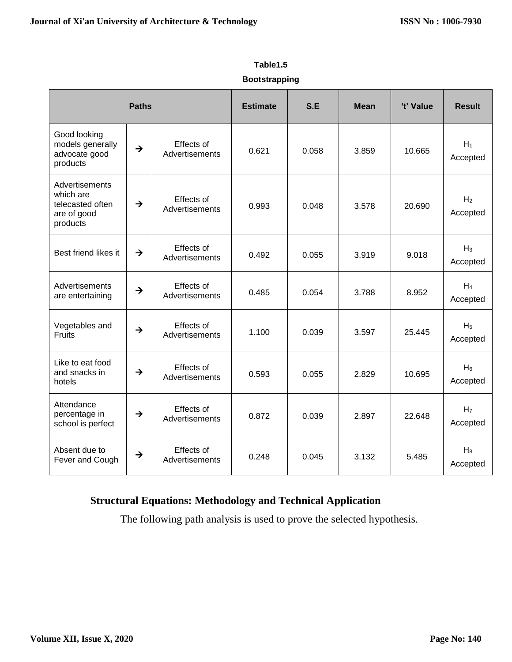|                                                                            | <b>Paths</b>  |                              | <b>Estimate</b> | S.E   | <b>Mean</b> | 't' Value | <b>Result</b>              |
|----------------------------------------------------------------------------|---------------|------------------------------|-----------------|-------|-------------|-----------|----------------------------|
| Good looking<br>models generally<br>advocate good<br>products              | $\rightarrow$ | Effects of<br>Advertisements | 0.621           | 0.058 | 3.859       | 10.665    | $H_1$<br>Accepted          |
| Advertisements<br>which are<br>telecasted often<br>are of good<br>products | $\rightarrow$ | Effects of<br>Advertisements | 0.993           | 0.048 | 3.578       | 20.690    | H <sub>2</sub><br>Accepted |
| Best friend likes it                                                       | $\rightarrow$ | Effects of<br>Advertisements | 0.492           | 0.055 | 3.919       | 9.018     | $H_3$<br>Accepted          |
| Advertisements<br>are entertaining                                         | $\rightarrow$ | Effects of<br>Advertisements | 0.485           | 0.054 | 3.788       | 8.952     | $H_4$<br>Accepted          |
| Vegetables and<br><b>Fruits</b>                                            | $\rightarrow$ | Effects of<br>Advertisements | 1.100           | 0.039 | 3.597       | 25.445    | H <sub>5</sub><br>Accepted |
| Like to eat food<br>and snacks in<br>hotels                                | $\rightarrow$ | Effects of<br>Advertisements | 0.593           | 0.055 | 2.829       | 10.695    | $H_6$<br>Accepted          |
| Attendance<br>percentage in<br>school is perfect                           | $\rightarrow$ | Effects of<br>Advertisements | 0.872           | 0.039 | 2.897       | 22.648    | H <sub>7</sub><br>Accepted |
| Absent due to<br>Fever and Cough                                           | $\rightarrow$ | Effects of<br>Advertisements | 0.248           | 0.045 | 3.132       | 5.485     | $H_8$<br>Accepted          |

# **Table1.5**

### **Bootstrapping**

# **Structural Equations: Methodology and Technical Application**

The following path analysis is used to prove the selected hypothesis.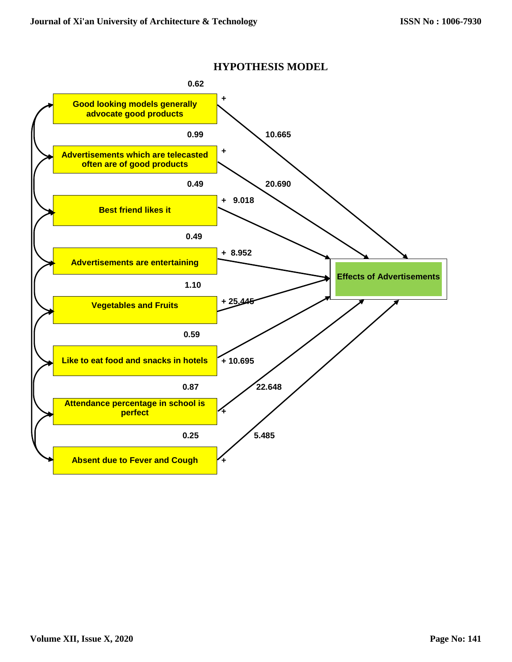

#### **HYPOTHESIS MODEL**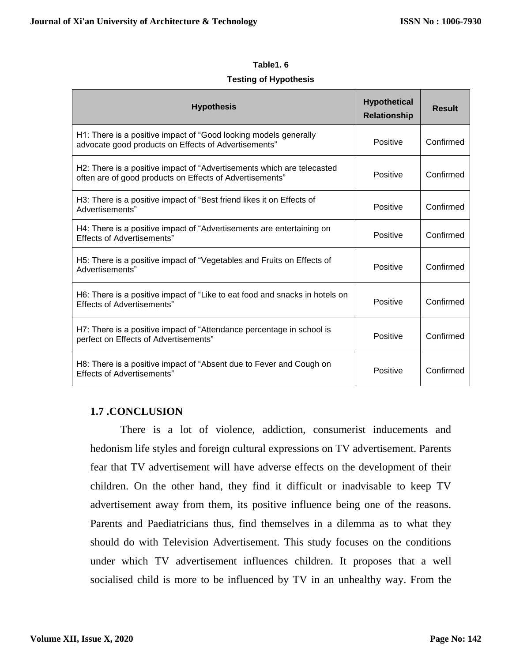#### **Table1. 6**

#### **Testing of Hypothesis**

| <b>Hypothesis</b>                                                                                                                  | <b>Hypothetical</b><br><b>Relationship</b> | <b>Result</b> |
|------------------------------------------------------------------------------------------------------------------------------------|--------------------------------------------|---------------|
| H1: There is a positive impact of "Good looking models generally<br>advocate good products on Effects of Advertisements"           | Positive                                   | Confirmed     |
| H2: There is a positive impact of "Advertisements which are telecasted<br>often are of good products on Effects of Advertisements" | Positive                                   | Confirmed     |
| H3: There is a positive impact of "Best friend likes it on Effects of<br>Advertisements"                                           | Positive                                   | Confirmed     |
| H4: There is a positive impact of "Advertisements are entertaining on<br><b>Effects of Advertisements"</b>                         | Positive                                   | Confirmed     |
| H5: There is a positive impact of "Vegetables and Fruits on Effects of<br>Advertisements"                                          | Positive                                   | Confirmed     |
| H6: There is a positive impact of "Like to eat food and snacks in hotels on<br><b>Effects of Advertisements"</b>                   | Positive                                   | Confirmed     |
| H7: There is a positive impact of "Attendance percentage in school is<br>perfect on Effects of Advertisements"                     | Positive                                   | Confirmed     |
| H8: There is a positive impact of "Absent due to Fever and Cough on<br>Effects of Advertisements"                                  | <b>Positive</b>                            | Confirmed     |

## **1.7 .CONCLUSION**

There is a lot of violence, addiction, consumerist inducements and hedonism life styles and foreign cultural expressions on TV advertisement. Parents fear that TV advertisement will have adverse effects on the development of their children. On the other hand, they find it difficult or inadvisable to keep TV advertisement away from them, its positive influence being one of the reasons. Parents and Paediatricians thus, find themselves in a dilemma as to what they should do with Television Advertisement. This study focuses on the conditions under which TV advertisement influences children. It proposes that a well socialised child is more to be influenced by TV in an unhealthy way. From the